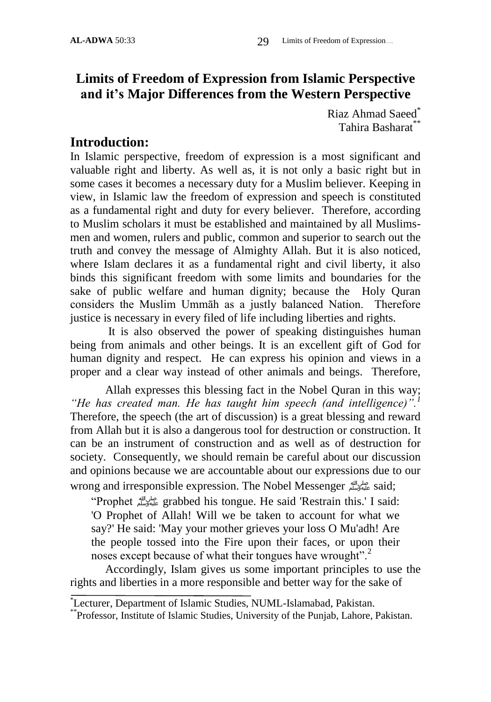# **Limits of Freedom of Expression from Islamic Perspective and it's Major Differences from the Western Perspective**

Riaz Ahmad Saeed\* Tahira Basharat\*\*

## **Introduction:**

In Islamic perspective, freedom of expression is a most significant and valuable right and liberty. As well as, it is not only a basic right but in some cases it becomes a necessary duty for a Muslim believer. Keeping in view, in Islamic law the freedom of expression and speech is constituted as a fundamental right and duty for every believer. Therefore, according to Muslim scholars it must be established and maintained by all Muslimsmen and women, rulers and public, common and superior to search out the truth and convey the message of Almighty Allah. But it is also noticed, where Islam declares it as a fundamental right and civil liberty, it also binds this significant freedom with some limits and boundaries for the sake of public welfare and human dignity; because the Holy Quran considers the Muslim Ummāh as a justly balanced Nation. Therefore justice is necessary in every filed of life including liberties and rights.

It is also observed the power of speaking distinguishes human being from animals and other beings. It is an excellent gift of God for human dignity and respect. He can express his opinion and views in a proper and a clear way instead of other animals and beings. Therefore,

Allah expresses this blessing fact in the Nobel Quran in this way; *"He has created man. He has taught him speech (and intelligence)".<sup>1</sup>* Therefore, the speech (the art of discussion) is a great blessing and reward from Allah but it is also a dangerous tool for destruction or construction. It can be an instrument of construction and as well as of destruction for society. Consequently, we should remain be careful about our discussion and opinions because we are accountable about our expressions due to our wrong and irresponsible expression. The Nobel Messenger صلى الله said;

"Prophet صلى الله عليه وسلم grabbed his tongue. He said 'Restrain this.' I said: 'O Prophet of Allah! Will we be taken to account for what we say?' He said: 'May your mother grieves your loss O Mu'adh! Are the people tossed into the Fire upon their faces, or upon their noses except because of what their tongues have wrought".<sup>2</sup>

Accordingly, Islam gives us some important principles to use the rights and liberties in a more responsible and better way for the sake of

<sup>\*</sup>Lecturer, Department of Islamic Studies, NUML-Islamabad, Pakistan.

<sup>\*\*</sup>Professor, Institute of Islamic Studies, University of the Punjab, Lahore, Pakistan.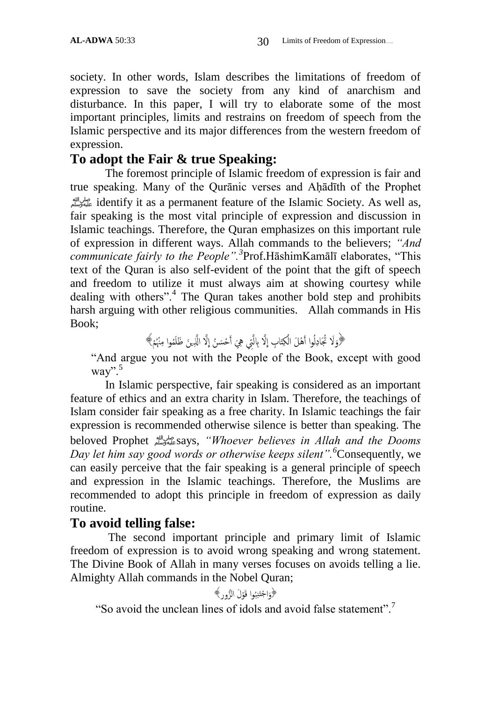society. In other words, Islam describes the limitations of freedom of expression to save the society from any kind of anarchism and disturbance. In this paper, I will try to elaborate some of the most important principles, limits and restrains on freedom of speech from the Islamic perspective and its major differences from the western freedom of expression.

#### **To adopt the Fair & true Speaking:**

The foremost principle of Islamic freedom of expression is fair and true speaking. Many of the Qurānic verses and Aḥādīth of the Prophet صلى الله عليه وسلمidentify it as a permanent feature of the Islamic Society. As well as, fair speaking is the most vital principle of expression and discussion in Islamic teachings. Therefore, the Quran emphasizes on this important rule of expression in different ways. Allah commands to the believers; *"And communicate fairly to the People".<sup>3</sup>* Prof.HāshimKamālī elaborates, "This text of the Quran is also self-evident of the point that the gift of speech and freedom to utilize it must always aim at showing courtesy while dealing with others".<sup>4</sup> The Quran takes another bold step and prohibits harsh arguing with other religious communities. Allah commands in His Book;

> ﴿وَلَا تُجَادِلُوا أَهْلَ الْكِتَابِ إِلَّا بِالَّتِي هِيَ أَحْسَنُ إِلَّا الَّذِينَ ظَلَمُوا مِنْهُمْ﴾ َأ آ **ٔ** أ م َ

ءَ<br>ا غ<br>م "And argue you not with the People of the Book, except with good way". $5$ 

In Islamic perspective, fair speaking is considered as an important feature of ethics and an extra charity in Islam. Therefore, the teachings of Islam consider fair speaking as a free charity. In Islamic teachings the fair expression is recommended otherwise silence is better than speaking. The beloved Prophet صلى الله عليه وسلمsays, *"Whoever believes in Allah and the Dooms Day let him say good words or otherwise keeps silent".<sup>6</sup>*Consequently, we can easily perceive that the fair speaking is a general principle of speech and expression in the Islamic teachings. Therefore, the Muslims are recommended to adopt this principle in freedom of expression as daily routine.

## **To avoid telling false:**

The second important principle and primary limit of Islamic freedom of expression is to avoid wrong speaking and wrong statement. The Divine Book of Allah in many verses focuses on avoids telling a lie. Almighty Allah commands in the Nobel Quran;

$$
\mathbb{R}_{\bar{e}}^{\frac{1}{2}}
$$

"So avoid the unclean lines of idols and avoid false statement".<sup>7</sup>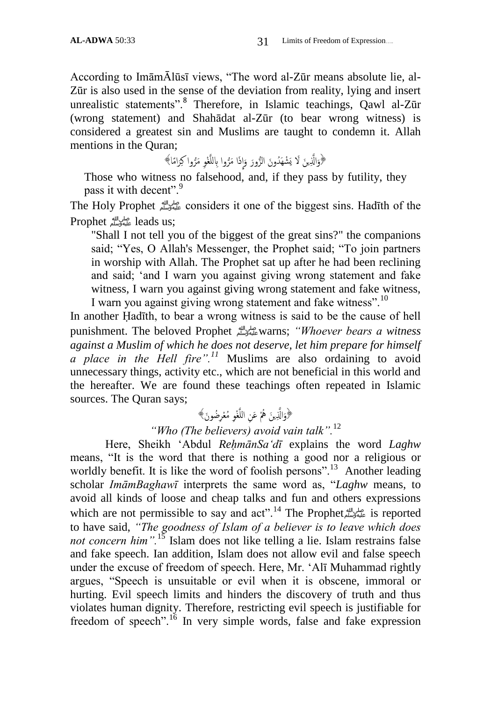According to ImāmĀlūsī views, "The word al-Zūr means absolute lie, al-Zūr is also used in the sense of the deviation from reality, lying and insert unrealistic statements".<sup>8</sup> Therefore, in Islamic teachings, Qawl al-Zūr (wrong statement) and Shahādat al-Zūr (to bear wrong witness) is considered a greatest sin and Muslims are taught to condemn it. Allah mentions in the Quran;

> ﴿وَالَّذِينَ لَا يَشْهَدُونَ الزُّورَ وَإِذَا مَرُّوا بِاللَّغْوِ مَرُّوا كِرَامًا﴾ ا َ آ

**ء**<br>. Those who witness no falsehood, and, if they pass by futility, they pass it with decent".<sup>9</sup>

The Holy Prophet صلى الله عليه وسلمconsiders it one of the biggest sins. Hadīth of the Prophet صلى الله عليه وسلمleads us;

"Shall I not tell you of the biggest of the great sins?" the companions said; "Yes, O Allah's Messenger, the Prophet said; "To join partners in worship with Allah. The Prophet sat up after he had been reclining and said; "and I warn you against giving wrong statement and fake witness, I warn you against giving wrong statement and fake witness, I warn you against giving wrong statement and fake witness".<sup>10</sup>

In another Ḥadīth, to bear a wrong witness is said to be the cause of hell punishment. The beloved Prophet صلى الله عليه وسلمwarns; *"Whoever bears a witness against a Muslim of which he does not deserve, let him prepare for himself a place in the Hell fire".<sup>11</sup>* Muslims are also ordaining to avoid unnecessary things, activity etc., which are not beneficial in this world and the hereafter. We are found these teachings often repeated in Islamic sources. The Quran says;

#### ﴿وَالَّذِينَ هُمْ عَنِ اللَّغْوِ مُعْرِضُونَ﴾ آ ا َ

#### *"Who (The believers) avoid vain talk".*<sup>12</sup>

Here, Sheikh "Abdul *ReḥmānSa"dī* explains the word *Laghw* means, "It is the word that there is nothing a good nor a religious or worldly benefit. It is like the word of foolish persons".<sup>13</sup> Another leading scholar *ImāmBaghawī* interprets the same word as, "*Laghw* means, to avoid all kinds of loose and cheap talks and fun and others expressions which are not permissible to say and act".<sup>14</sup> The Prophetensial is reported to have said, *"The goodness of Islam of a believer is to leave which does not concern him".*<sup>15</sup> Islam does not like telling a lie. Islam restrains false and fake speech. Ian addition, Islam does not allow evil and false speech under the excuse of freedom of speech. Here, Mr. "Alī Muhammad rightly argues, "Speech is unsuitable or evil when it is obscene, immoral or hurting. Evil speech limits and hinders the discovery of truth and thus violates human dignity. Therefore, restricting evil speech is justifiable for freedom of speech".<sup>16</sup> In very simple words, false and fake expression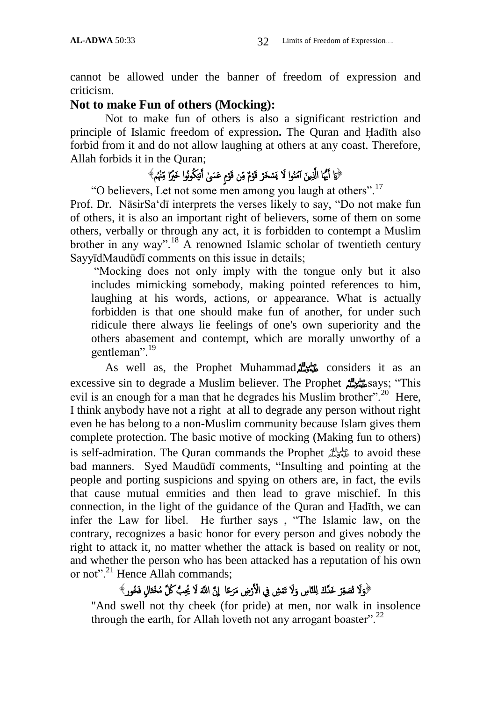cannot be allowed under the banner of freedom of expression and criticism.

#### **Not to make Fun of others (Mocking):**

Not to make fun of others is also a significant restriction and principle of Islamic freedom of expression**.** The Quran and Ḥadīth also forbid from it and do not allow laughing at others at any coast. Therefore, Allah forbids it in the Quran;

#### ﴿يَا أَيُّهَا الَّذِينَ آمَنُوا لَا يَسْخَرْ قَوْمٌ مِّن قَوْمٍ عَسَىٰ أَنيَكُونُوا خَيْرًا مِّنْهُمْ ﴾ ∶<br>∶ ٍ

"O believers, Let not some men among you laugh at others".<sup>17</sup> Prof. Dr. NāsirSa"dī interprets the verses likely to say, "Do not make fun of others, it is also an important right of believers, some of them on some others, verbally or through any act, it is forbidden to contempt a Muslim brother in any way".<sup>18</sup> A renowned Islamic scholar of twentieth century SayyīdMaudūdī comments on this issue in details;

"Mocking does not only imply with the tongue only but it also includes mimicking somebody, making pointed references to him, laughing at his words, actions, or appearance. What is actually forbidden is that one should make fun of another, for under such ridicule there always lie feelings of one's own superiority and the others abasement and contempt, which are morally unworthy of a gentleman".<sup>19</sup>

As well as, the Prophet Muhammadصلى الله عليه وسلم considers it as an excessive sin to degrade a Muslim believer. The Prophet صلى الله عليه وسلمsays; "This evil is an enough for a man that he degrades his Muslim brother".<sup>20</sup> Here, I think anybody have not a right at all to degrade any person without right even he has belong to a non-Muslim community because Islam gives them complete protection. The basic motive of mocking (Making fun to others) is self-admiration. The Quran commands the Prophet صلى الله عليه وسلم to avoid these bad manners. Syed Maudūdī comments, "Insulting and pointing at the people and porting suspicions and spying on others are, in fact, the evils that cause mutual enmities and then lead to grave mischief. In this connection, in the light of the guidance of the Quran and Ḥadīth, we can infer the Law for libel. He further says , "The Islamic law, on the contrary, recognizes a basic honor for every person and gives nobody the right to attack it, no matter whether the attack is based on reality or not, and whether the person who has been attacked has a reputation of his own or not".<sup>21</sup> Hence Allah commands;

#### $\langle \hat{\mathbf{x}} \rangle$ أَوَلَا تُصَعِّرْ خَدَّكَ لِلنَّاسِ وَلَا تَمْشِ فِي الْأَرْضِ مَرَحًا ۚ إِنَّ اللَّهَ لَا يُحِبُّ كُلَّ مُخْتَالٍ فَخُورٍ َ **ٔ** َ ِ َ

**.** "And swell not thy cheek (for pride) at men, nor walk in insolence through the earth, for Allah loveth not any arrogant boaster".<sup>22</sup>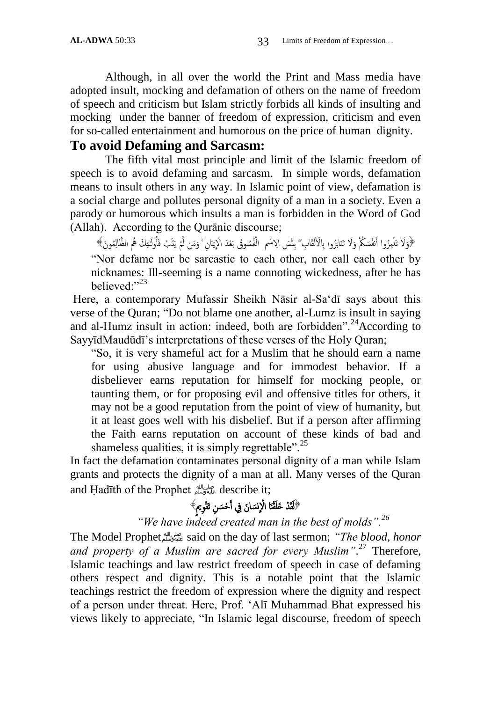Although, in all over the world the Print and Mass media have adopted insult, mocking and defamation of others on the name of freedom of speech and criticism but Islam strictly forbids all kinds of insulting and mocking under the banner of freedom of expression, criticism and even for so-called entertainment and humorous on the price of human dignity.

### **To avoid Defaming and Sarcasm:**

The fifth vital most principle and limit of the Islamic freedom of speech is to avoid defaming and sarcasm. In simple words, defamation means to insult others in any way. In Islamic point of view, defamation is a social charge and pollutes personal dignity of a man in a society. Even a parody or humorous which insults a man is forbidden in the Word of God (Allah). According to the Qurānic discourse;

﴿وَلَا تَلْمِزُوا أَنفُسَكُمْ وَلَا تَنَابَزُوا بِالْأَلْقَابِ ۖ بِئْسَ الِاسْمِ ۖ الْفُسُوقُ بَعْدَ الْإِيمَانِ ۚ وَمَن لَّمْ يَتُبْ فَأُولَـئِكَ هُم الظَّالِمُونَ﴾ ُف **ٔ** ٔ أ م أَ ∶<br>∶ َ م ِ ِ  $\frac{1}{2}$ َ َتُ ي ە<br>أ أ نو<br>د "Nor defame nor be sarcastic to each other, nor call each other by nicknames: Ill-seeming is a name connoting wickedness, after he has believed $\cdot$ "<sup>23</sup>

Here, a contemporary Mufassir Sheikh Nāsir al-Sa"dī says about this verse of the Quran; "Do not blame one another, al-Lumz is insult in saying and al-Humz insult in action: indeed, both are forbidden".<sup>24</sup>According to SayyīdMaudūdī"s interpretations of these verses of the Holy Quran;

"So, it is very shameful act for a Muslim that he should earn a name for using abusive language and for immodest behavior. If a disbeliever earns reputation for himself for mocking people, or taunting them, or for proposing evil and offensive titles for others, it may not be a good reputation from the point of view of humanity, but it at least goes well with his disbelief. But if a person after affirming the Faith earns reputation on account of these kinds of bad and shameless qualities, it is simply regrettable".<sup>25</sup>

In fact the defamation contaminates personal dignity of a man while Islam grants and protects the dignity of a man at all. Many verses of the Quran and Ḥadīth of the Prophet صلى الله عليه وسلم and Ḥadīth of the Prophet

#### لَقَدْ خَلَقْنَا الْإِنسَانَ فِي أَحْسَنِ تَقْوِيمٍ﴾ ٍ و j

#### ֖֚֞֝֬֝֬֝*֟ "We have indeed created man in the best of molds".<sup>26</sup>*

The Model Prophetصلى الله عليه وسلمsaid on the day of last sermon; *"The blood, honor and property of a Muslim are sacred for every Muslim"*. <sup>27</sup> Therefore, Islamic teachings and law restrict freedom of speech in case of defaming others respect and dignity. This is a notable point that the Islamic teachings restrict the freedom of expression where the dignity and respect of a person under threat. Here, Prof. "Alī Muhammad Bhat expressed his views likely to appreciate, "In Islamic legal discourse, freedom of speech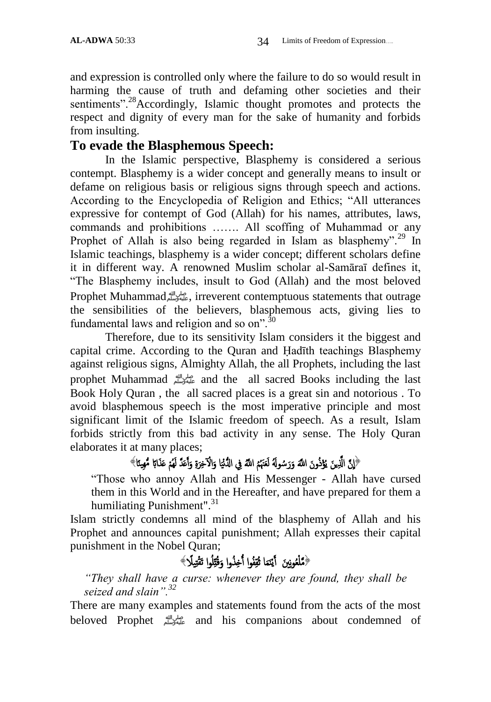and expression is controlled only where the failure to do so would result in harming the cause of truth and defaming other societies and their sentiments".<sup>28</sup>Accordingly, Islamic thought promotes and protects the respect and dignity of every man for the sake of humanity and forbids from insulting.

### **To evade the Blasphemous Speech:**

In the Islamic perspective, Blasphemy is considered a serious contempt. Blasphemy is a wider concept and generally means to insult or defame on religious basis or religious signs through speech and actions. According to the Encyclopedia of Religion and Ethics; "All utterances expressive for contempt of God (Allah) for his names, attributes, laws, commands and prohibitions ……. All scoffing of Muhammad or any Prophet of Allah is also being regarded in Islam as blasphemy".<sup>29</sup> In Islamic teachings, blasphemy is a wider concept; different scholars define it in different way. A renowned Muslim scholar al-Samāraī defines it, "The Blasphemy includes, insult to God (Allah) and the most beloved Prophet Muhammadصلى الله عليه وسلم, irreverent contemptuous statements that outrage the sensibilities of the believers, blasphemous acts, giving lies to fundamental laws and religion and so on". $30$ 

Therefore, due to its sensitivity Islam considers it the biggest and capital crime. According to the Quran and Ḥadīth teachings Blasphemy against religious signs, Almighty Allah, the all Prophets, including the last prophet Muhammad صلى الله عليه وسلم and the all sacred Books including the last Book Holy Quran , the all sacred places is a great sin and notorious . To avoid blasphemous speech is the most imperative principle and most significant limit of the Islamic freedom of speech. As a result, Islam forbids strictly from this bad activity in any sense. The Holy Quran elaborates it at many places;

#### ﴿إِنَّ الَّذِينَ يُؤْذُونَ اللَّهَ وَرَسُولَهُ لَعَنَهُمُ اللَّهُ فِي الدُّنْيَا وَالْآخِرَةِ وَأَعَدَّ لَهُمْ عَذَابًا مُّهِينًا﴾ ֦֧֓**֓**֖֚֓ َ َ ةِ َ **ٔ ٔ ٔ** َ

֧֓֕֓֓֓֓֓֓֓*֬*֧֓ "Those who annoy Allah and His Messenger - Allah have cursed them in this World and in the Hereafter, and have prepared for them a humiliating Punishment".<sup>31</sup>

Islam strictly condemns all mind of the blasphemy of Allah and his Prophet and announces capital punishment; Allah expresses their capital punishment in the Nobel Quran;

#### ِ مَّلْعُونِينَ أَيْتَمَا ثُقِفُوا أُخِذُوا وَقُتِلُوا تَقْتِيلًا ﴾ ي ِ اً ا ِ **j** َ ْي <u>،</u> **֝**

*"They shall have a curse: whenever they are found, they shall be seized and slain".<sup>32</sup>*

There are many examples and statements found from the acts of the most beloved Prophet صلى الله عليه وسلم and his companions about condemned of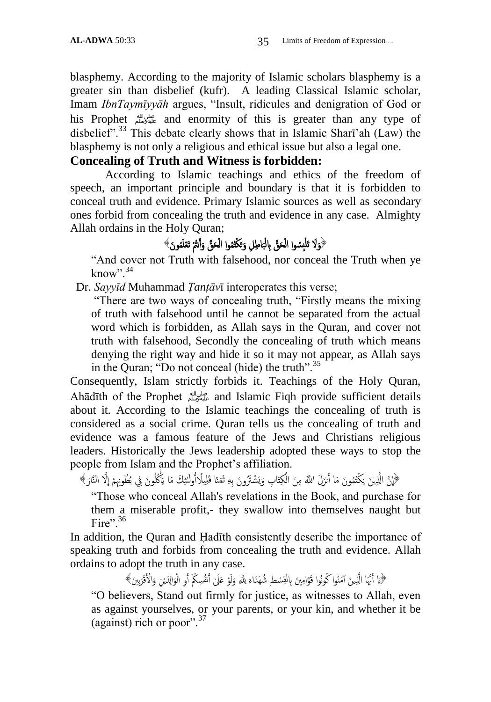blasphemy. According to the majority of Islamic scholars blasphemy is a greater sin than disbelief (kufr). A leading Classical Islamic scholar, Imam *IbnTaymīyyāh* argues, "Insult, ridicules and denigration of God or his Prophet صلى الله عليه وسلم and enormity of this is greater than any type of disbelief".<sup>33</sup> This debate clearly shows that in Islamic Shari'ah (Law) the blasphemy is not only a religious and ethical issue but also a legal one.

### **Concealing of Truth and Witness is forbidden:**

According to Islamic teachings and ethics of the freedom of speech, an important principle and boundary is that it is forbidden to conceal truth and evidence. Primary Islamic sources as well as secondary ones forbid from concealing the truth and evidence in any case. Almighty Allah ordains in the Holy Quran;

#### ﴿وَلَا تَلْبِسُوا الْحَقَّ بِالْبَاطِلِ وَتَكْتُمُوا الْحَقَّ وَأَنتُمْ تَغْلَمُونَ﴾ َ َ ֧<u>֓</u>֚֚֓ <u>َّة</u> ت **ٔ** ๎๎๎๎๎ ب ْ **ׇ֖֡** ِب **ٔ** َ

"And cover not Truth with falsehood, nor conceal the Truth when ye know".  $34$ 

Dr. *Sayyīd* Muhammad *Ṭanṭāv*ī interoperates this verse;

"There are two ways of concealing truth, "Firstly means the mixing of truth with falsehood until he cannot be separated from the actual word which is forbidden, as Allah says in the Quran, and cover not truth with falsehood, Secondly the concealing of truth which means denying the right way and hide it so it may not appear, as Allah says in the Quran; "Do not conceal (hide) the truth".<sup>35</sup>

Consequently, Islam strictly forbids it. Teachings of the Holy Quran, Ahādīth of the Prophet صلى الله عليه وسلم and Islamic Fiqh provide sufficient details about it*.* According to the Islamic teachings the concealing of truth is considered as a social crime. Quran tells us the concealing of truth and evidence was a famous feature of the Jews and Christians religious leaders. Historically the Jews leadership adopted these ways to stop the people from Islam and the Prophet's affiliation.

﴿إِنَّ الَّذِينَ يَكْتُمُونَ مَا أَنزَلَ اللَّهُ مِنَ الْكِتَابِ وَيَشْتَرُونَ بِهِ ثَمَنًا قَلِيلًاأُولَـٰئِكَ مَا يَأْكُلُونَ فِي بُطُونِهِمْ إِلَّا النَّارَ ﴾  $\tilde{a}$ آ ا َ ا ە<br>أ ا<br>با  $\tilde{1}$ أ ِ<br>پ ٰئِ .<br>أ َ ي ِ ي **ه** َ

غ<br>م غ<br>م "Those who conceal Allah's revelations in the Book, and purchase for them a miserable profit,- they swallow into themselves naught but Fire".  $36$ 

In addition, the Quran and Ḥadīth consistently describe the importance of speaking truth and forbids from concealing the truth and evidence. Allah ordains to adopt the truth in any case.

> ﴿يَا أَيُّهَا الَّذِينَ آمَنُوا كُونُوا فَوَّامِينَ بِالْقِسْطِ شُهَدَاءَ لِلَّهِ وَلَوْ عَلَىٰ أَنْفُسِكُمْ أَوِ الْوَالِدَيْنِ وَالْأَقْرَبِينَ﴾ لِ ْ ا ِب َ َ َ **ٔ** j م َ ِ َ

"O believers, Stand out firmly for justice, as witnesses to Allah, even as against yourselves, or your parents, or your kin, and whether it be (against) rich or poor".<sup>37</sup>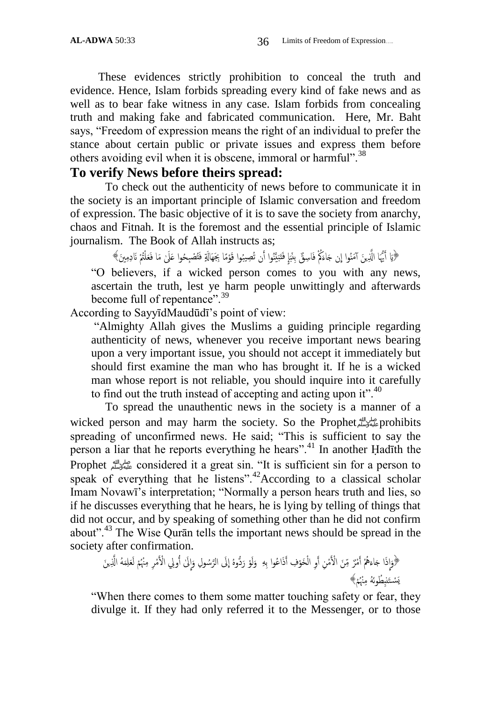These evidences strictly prohibition to conceal the truth and evidence. Hence, Islam forbids spreading every kind of fake news and as well as to bear fake witness in any case. Islam forbids from concealing truth and making fake and fabricated communication. Here, Mr. Baht says, "Freedom of expression means the right of an individual to prefer the stance about certain public or private issues and express them before others avoiding evil when it is obscene, immoral or harmful".<sup>38</sup>

#### **To verify News before theirs spread:**

To check out the authenticity of news before to communicate it in the society is an important principle of Islamic conversation and freedom of expression. The basic objective of it is to save the society from anarchy, chaos and Fitnah. It is the foremost and the essential principle of Islamic journalism. The Book of Allah instructs as;

> ﴿يَا أَيُّهَا الَّذِينَ آمَنُوا إِن جَاءَكُمْ فَاسِقٌ بِنَبَإٍ فَتَبَيَّنُوا أَن تُصِيبُوا قَوْمًا بِجَهَالَةٍ فَتُصْبِحُوا عَلَىٰ مَا فَعَلْتُمْ نَادِمِينَ﴾ ๎๎๎๎ ؚ<br>ڋ ة<br>|

.<br>أ "O believers, if a wicked person comes to you with any news, ascertain the truth, lest ye harm people unwittingly and afterwards become full of repentance".<sup>39</sup>

According to SayyīdMaudūdī"s point of view:

"Almighty Allah gives the Muslims a guiding principle regarding authenticity of news, whenever you receive important news bearing upon a very important issue, you should not accept it immediately but should first examine the man who has brought it. If he is a wicked man whose report is not reliable, you should inquire into it carefully to find out the truth instead of accepting and acting upon it".<sup>40</sup>

To spread the unauthentic news in the society is a manner of a wicked person and may harm the society. So the Prophetصلى الله عليه وسلمprohibits spreading of unconfirmed news. He said; "This is sufficient to say the person a liar that he reports everything he hears".<sup>41</sup> In another Hadīth the Prophet صلى الله عليه وسلمconsidered it a great sin. "It is sufficient sin for a person to speak of everything that he listens".<sup>42</sup>According to a classical scholar Imam Novawī's interpretation; "Normally a person hears truth and lies, so if he discusses everything that he hears, he is lying by telling of things that did not occur, and by speaking of something other than he did not confirm about".<sup>43</sup> The Wise Qurān tells the important news should be spread in the society after confirmation.

َْل ْ َٰل ُأوِِل ا َ ّ ا َ ا ُسوِل و ََل امر ّ ُّدوٍُ ا َ ْو ر َ م َ و َخْوِف َأَذا ُغوا ِبَِ ْ ْم ِن َأِو ام َ ّ َن اْلْ ٌر مِ َأْم ُُهْ َ َجاء َذا ّ ا َن َ ي اَّل و ِ َُ ا َ م ِ َؼل َ م ْ ْْنُم ْمِر مِ ْ ْْنُم يَس ْ َتًِب ُطوهََُ مِ

"When there comes to them some matter touching safety or fear, they divulge it. If they had only referred it to the Messenger, or to those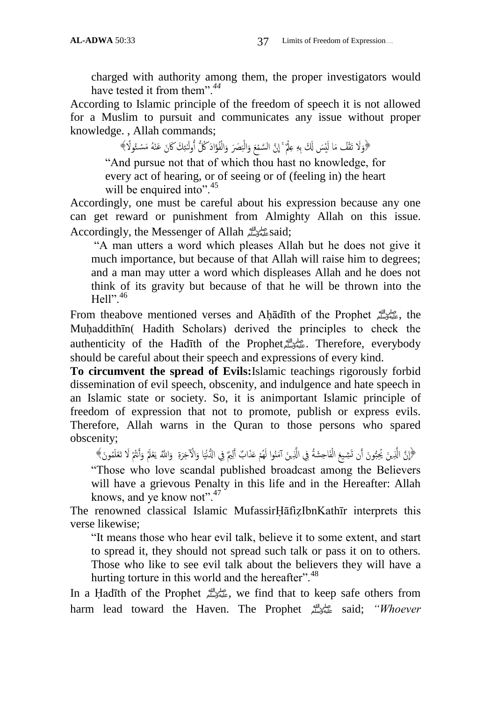charged with authority among them, the proper investigators would have tested it from them".*<sup>44</sup>*

According to Islamic principle of the freedom of speech it is not allowed for a Muslim to pursuit and communicates any issue without proper knowledge. , Allah commands;

> ﴿وَلَا تَقْفُ مَا لَيْسَ لَكَ بِهِ عِلْمٌ ۚ إِنَّ السَّمْعَ وَالْبَصَرَ وَالْفُؤَادَ كُلُّ أُولَـٰئِكَ كَانَ عَنْهُ مَسْئُولًا﴾ ئِ ا<br>ا  $\frac{1}{2}$ َ ْ َ ๎๎๎ ب **ٔ** َ يْ ِ َ

غ<br>ما "And pursue not that of which thou hast no knowledge, for every act of hearing, or of seeing or of (feeling in) the heart will be enquired into".<sup>45</sup>

Accordingly, one must be careful about his expression because any one can get reward or punishment from Almighty Allah on this issue. Accordingly, the Messenger of Allah صلى الله عليه وسلمsaid;

"A man utters a word which pleases Allah but he does not give it much importance, but because of that Allah will raise him to degrees; and a man may utter a word which displeases Allah and he does not think of its gravity but because of that he will be thrown into the Hell". $46$ 

From theabove mentioned verses and Aḥādīth of the Prophet صلى الله عليه وسلم, the Muḥaddithīn( Hadith Scholars) derived the principles to check the authenticity of the Hadīth of the Prophetصلى الله عليه وسلم. Therefore, everybody should be careful about their speech and expressions of every kind.

**To circumvent the spread of Evils:**Islamic teachings rigorously forbid dissemination of evil speech, obscenity, and indulgence and hate speech in an Islamic state or society. So, it is animportant Islamic principle of freedom of expression that not to promote, publish or express evils. Therefore, Allah warns in the Quran to those persons who spared obscenity;

﴿لِنَّ الَّذِينَ يُحِبُّونَ أَن تَشِيعَ الْفَاحِشَةُ فِي الَّذِينَ آمَنُوا لَهُمْ عَذَابٌ أَلِيمٌ فِي الدُّنْيَا وَالْآخِرَةِ ۚ وَاللَّهُ يَعْلَمُ وَأَنْتُمْ لَا تَعْلَمُونَ﴾ **غ**  $\frac{1}{2}$ ِ **ٔ** ِ<br>أ ֧֖֖֖֖֟֟֓֓֓֓֓֓֓֓**֓** ي ِ َ َ **غ** <u>ز</u>

.<br>م "Those who love scandal published broadcast among the Believers will have a grievous Penalty in this life and in the Hereafter: Allah knows, and ye know not". $47$ 

The renowned classical Islamic MufassirḤāfiẓIbnKathīr interprets this verse likewise;

"It means those who hear evil talk, believe it to some extent, and start to spread it, they should not spread such talk or pass it on to others. Those who like to see evil talk about the believers they will have a hurting torture in this world and the hereafter".<sup>48</sup>

In a Hadīth of the Prophet صلى الله عليه وسلم a Hadīth of the Prophet . معلوماتهم we find that to keep safe others from harm lead toward the Haven. The Prophet صلى الله عليه وسلم said; *"Whoever*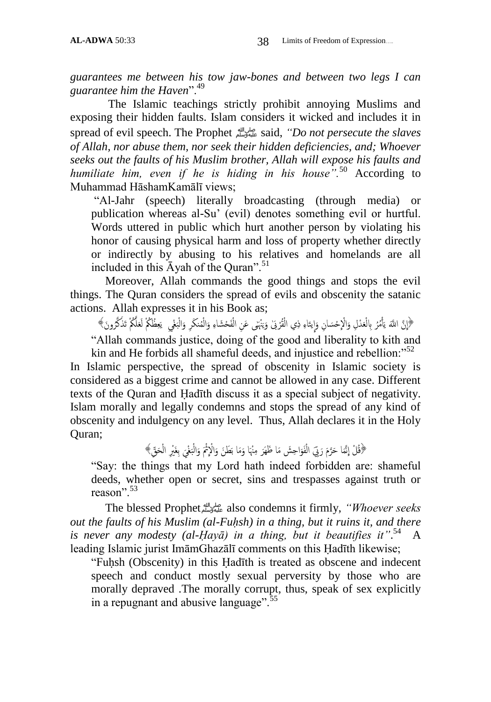*guarantees me between his tow jaw-bones and between two legs I can guarantee him the Haven*".<sup>49</sup>

The Islamic teachings strictly prohibit annoying Muslims and exposing their hidden faults. Islam considers it wicked and includes it in spread of evil speech. The Prophet صلى الله عليه وسلمsaid, *"Do not persecute the slaves of Allah, nor abuse them, nor seek their hidden deficiencies, and; Whoever seeks out the faults of his Muslim brother, Allah will expose his faults and humiliate him, even if he is hiding in his house".*<sup>50</sup> According to Muhammad HāshamKamālī views;

"Al-Jahr (speech) literally broadcasting (through media) or publication whereas al-Su" (evil) denotes something evil or hurtful. Words uttered in public which hurt another person by violating his honor of causing physical harm and loss of property whether directly or indirectly by abusing to his relatives and homelands are all included in this  $\bar{A}$ yah of the Quran".<sup>51</sup>

Moreover, Allah commands the good things and stops the evil things. The Quran considers the spread of evils and obscenity the satanic actions. Allah expresses it in his Book as;

﴿إِنَّ اللَّهَ يَأْمُرُ بِالْعَدْلِ وَالْإِحْسَانِ وَإِيتَاءِ ذِي الْقُرْبَىٰ وَيَنْهَىٰ عَنِ الْفَحْشَاءِ وَالْمُنكَرِ وَالْبَغْيِ ۚ يَعِظُكُمْ لَعَلَّكُمْ تَذَكَّرُونَ﴾ أ ๎๎๎๎ ب ْ َ **ٔ** َ ْ َ ي َ و<br>ه ٔ أ ي ا َ .<br>. َ ٔ أ ُ َأِ َ َ

أ "Allah commands justice, doing of the good and liberality to kith and kin and He forbids all shameful deeds, and injustice and rebellion:"<sup>52</sup>

In Islamic perspective, the spread of obscenity in Islamic society is considered as a biggest crime and cannot be allowed in any case. Different texts of the Quran and Ḥadīth discuss it as a special subject of negativity. Islam morally and legally condemns and stops the spread of any kind of obscenity and indulgency on any level. Thus, Allah declares it in the Holy Quran;

> ﴿قُلْ إِنَّمَا حَرَّمَ رَبِّيَ الْفَوَاحِشَ مَا ظَهَرَ مِنْهَا وَمَا بَطَنَ وَالْإِثْمَ وَالْبَغْيَ بِغَيْرِ الْحَقِّ﴾ اَ <sup>2</sup> ا َ <u>ٔ</u> ا َ **ٔ**  $\ddot{\phantom{0}}$  $\ddot{\cdot}$ ب ْ َ َ

غ<br>م َة<br>∶ "Say: the things that my Lord hath indeed forbidden are: shameful deeds, whether open or secret, sins and trespasses against truth or reason".<sup>53</sup>

The blessed Prophetصلى الله عليه وسلمalso condemns it firmly, *"Whoever seeks out the faults of his Muslim (al-Fuhsh) in a thing, but it ruins it, and there* is never any modesty (al-Hayā) in a thing, but it beautifies it".<sup>54</sup> A leading Islamic jurist ImāmGhazālī comments on this Ḥadīth likewise;

"Fuḥsh (Obscenity) in this Ḥadīth is treated as obscene and indecent speech and conduct mostly sexual perversity by those who are morally depraved .The morally corrupt, thus, speak of sex explicitly in a repugnant and abusive language".<sup>55</sup>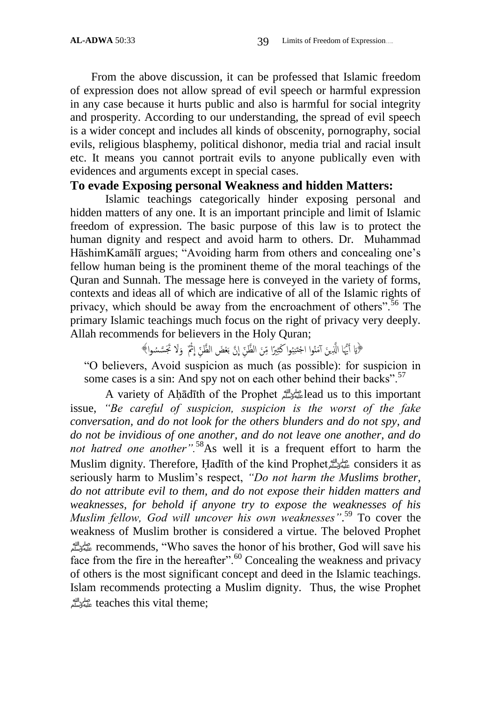From the above discussion, it can be professed that Islamic freedom of expression does not allow spread of evil speech or harmful expression in any case because it hurts public and also is harmful for social integrity and prosperity. According to our understanding, the spread of evil speech is a wider concept and includes all kinds of obscenity, pornography, social evils, religious blasphemy, political dishonor, media trial and racial insult etc. It means you cannot portrait evils to anyone publically even with evidences and arguments except in special cases.

#### **To evade Exposing personal Weakness and hidden Matters:**

Islamic teachings categorically hinder exposing personal and hidden matters of any one. It is an important principle and limit of Islamic freedom of expression. The basic purpose of this law is to protect the human dignity and respect and avoid harm to others. Dr. Muhammad HāshimKamālī argues; "Avoiding harm from others and concealing one"s fellow human being is the prominent theme of the moral teachings of the Quran and Sunnah. The message here is conveyed in the variety of forms, contexts and ideas all of which are indicative of all of the Islamic rights of privacy, which should be away from the encroachment of others".<sup>56</sup> The primary Islamic teachings much focus on the right of privacy very deeply. Allah recommends for believers in the Holy Quran;

> ﴿يَا أَيُّهَا الَّذِينَ آمَنُوا اجْتَنِبُواكَثِيرًا مِّنَ الطَّلِّْ إِنَّ بَعْضَ الظَّلّْ إِثْمٌ ۚ وَلَا تَجَسَّسُوا﴾ َ ثِ ب

غ<br>ا غ<br>، "O believers, Avoid suspicion as much (as possible): for suspicion in some cases is a sin: And spy not on each other behind their backs".<sup>57</sup>

A variety of Aḥādīth of the Prophet صلى الله عليه وسلمlead us to this important issue, *"Be careful of suspicion, suspicion is the worst of the fake conversation, and do not look for the others blunders and do not spy, and do not be invidious of one another, and do not leave one another, and do not hatred one another".*<sup>58</sup>As well it is a frequent effort to harm the Muslim dignity. Therefore, Ḥadīth of the kind Prophetصلى الله عليه وسلمconsiders it as seriously harm to Muslim"s respect, *"Do not harm the Muslims brother, do not attribute evil to them, and do not expose their hidden matters and weaknesses, for behold if anyone try to expose the weaknesses of his Muslim fellow, God will uncover his own weaknesses"*. <sup>59</sup> To cover the weakness of Muslim brother is considered a virtue. The beloved Prophet صلى الله عليه وسلمrecommends, "Who saves the honor of his brother, God will save his face from the fire in the hereafter".<sup>60</sup> Concealing the weakness and privacy of others is the most significant concept and deed in the Islamic teachings. Islam recommends protecting a Muslim dignity. Thus, the wise Prophet صلى الله teaches this vital theme;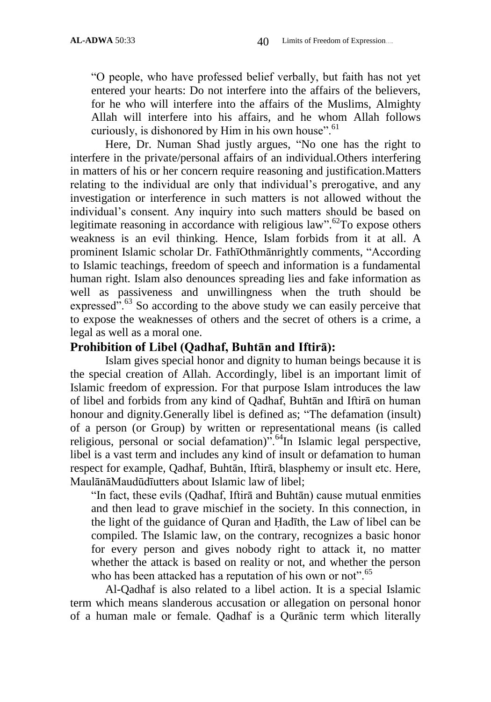"O people, who have professed belief verbally, but faith has not yet entered your hearts: Do not interfere into the affairs of the believers, for he who will interfere into the affairs of the Muslims, Almighty Allah will interfere into his affairs, and he whom Allah follows curiously, is dishonored by Him in his own house". $61$ 

Here, Dr. Numan Shad justly argues, "No one has the right to interfere in the private/personal affairs of an individual.Others interfering in matters of his or her concern require reasoning and justification.Matters relating to the individual are only that individual's prerogative, and any investigation or interference in such matters is not allowed without the individual"s consent. Any inquiry into such matters should be based on legitimate reasoning in accordance with religious law".<sup>62</sup>To expose others weakness is an evil thinking. Hence, Islam forbids from it at all. A prominent Islamic scholar Dr. FathīOthmānrightly comments, "According to Islamic teachings, freedom of speech and information is a fundamental human right. Islam also denounces spreading lies and fake information as well as passiveness and unwillingness when the truth should be expressed".<sup>63</sup> So according to the above study we can easily perceive that to expose the weaknesses of others and the secret of others is a crime, a legal as well as a moral one.

## **Prohibition of Libel (Qadhaf, Buhtān and Iftirā):**

Islam gives special honor and dignity to human beings because it is the special creation of Allah. Accordingly, libel is an important limit of Islamic freedom of expression. For that purpose Islam introduces the law of libel and forbids from any kind of Qadhaf, Buhtān and Iftirā on human honour and dignity.Generally libel is defined as; "The defamation (insult) of a person (or Group) by written or representational means (is called religious, personal or social defamation)".<sup>64</sup>In Islamic legal perspective, libel is a vast term and includes any kind of insult or defamation to human respect for example, Qadhaf, Buhtān, Iftirā, blasphemy or insult etc. Here, MaulānāMaudūdīutters about Islamic law of libel;

"In fact, these evils (Qadhaf, Iftirā and Buhtān) cause mutual enmities and then lead to grave mischief in the society. In this connection, in the light of the guidance of Quran and Ḥadīth, the Law of libel can be compiled. The Islamic law, on the contrary, recognizes a basic honor for every person and gives nobody right to attack it, no matter whether the attack is based on reality or not, and whether the person who has been attacked has a reputation of his own or not".<sup>65</sup>

Al-Qadhaf is also related to a libel action. It is a special Islamic term which means slanderous accusation or allegation on personal honor of a human male or female. Qadhaf is a Qurānic term which literally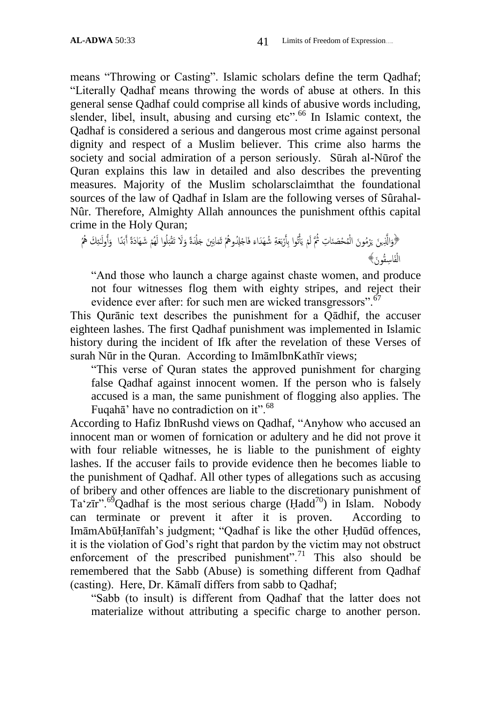means "Throwing or Casting". Islamic scholars define the term Qadhaf; "Literally Qadhaf means throwing the words of abuse at others. In this general sense Qadhaf could comprise all kinds of abusive words including, slender, libel, insult, abusing and cursing etc".<sup>66</sup> In Islamic context, the Qadhaf is considered a serious and dangerous most crime against personal dignity and respect of a Muslim believer. This crime also harms the society and social admiration of a person seriously. Sūrah al-Nūrof the Quran explains this law in detailed and also describes the preventing measures. Majority of the Muslim scholarsclaimthat the foundational sources of the law of Qadhaf in Islam are the following verses of Sûrahal-Nûr. Therefore, Almighty Allah announces the punishment ofthis capital crime in the Holy Quran;

﴿وَالَّذِينَ يَرْمُونَ الْمُحْصَنَاتِ ثُمَّ لَمْ يَأْتُوا بِأَرْبَعَةِ شُهَدَاءَ فَاجْلِدُوهُمْ ثَمَانِينَ جَلْدَةً وَلَا تَقْبَلُوا لَهُمْ شَهَادَةً أَبَدًا ۖ وَأُولَـٰئِكَ هُمُ ِ .<br>أ ٰ َ َ اً  $\ddot{\cdot}$ ه ِ <u>َ</u> َ اْ الْفَاسِقُونَ»

"And those who launch a charge against chaste women, and produce not four witnesses flog them with eighty stripes, and reject their evidence ever after: for such men are wicked transgressors".  $67$ 

This Qurānic text describes the punishment for a Qādhif, the accuser eighteen lashes. The first Qadhaf punishment was implemented in Islamic history during the incident of Ifk after the revelation of these Verses of surah Nūr in the Quran. According to ImāmIbnKathīr views;

"This verse of Quran states the approved punishment for charging false Qadhaf against innocent women. If the person who is falsely accused is a man, the same punishment of flogging also applies. The Fuqahā' have no contradiction on it".<sup>68</sup>

According to Hafiz IbnRushd views on Qadhaf, "Anyhow who accused an innocent man or women of fornication or adultery and he did not prove it with four reliable witnesses, he is liable to the punishment of eighty lashes. If the accuser fails to provide evidence then he becomes liable to the punishment of Qadhaf. All other types of allegations such as accusing of bribery and other offences are liable to the discretionary punishment of Ta'zīr".<sup>69</sup>Qadhaf is the most serious charge (Hadd<sup>70</sup>) in Islam. Nobody can terminate or prevent it after it is proven. According to ImāmAbūḤanīfah"s judgment; "Qadhaf is like the other Ḥudūd offences, it is the violation of God"s right that pardon by the victim may not obstruct enforcement of the prescribed punishment".<sup>71</sup> This also should be remembered that the Sabb (Abuse) is something different from Qadhaf (casting). Here, Dr. Kāmalī differs from sabb to Qadhaf;

"Sabb (to insult) is different from Qadhaf that the latter does not materialize without attributing a specific charge to another person.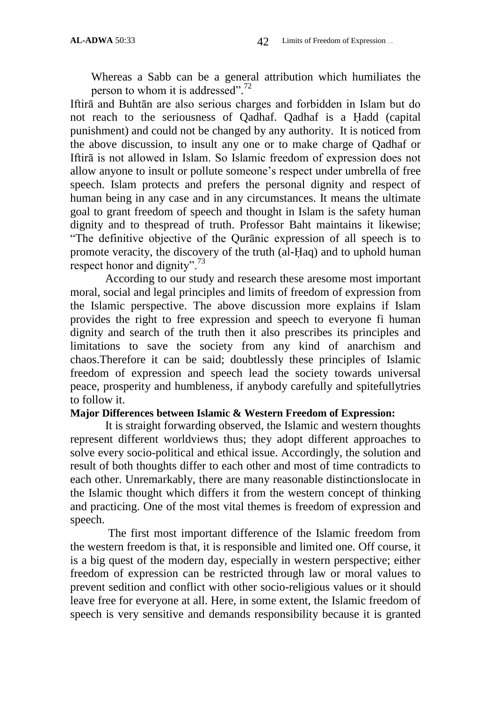Whereas a Sabb can be a general attribution which humiliates the person to whom it is addressed".<sup>72</sup>

Iftirā and Buhtān are also serious charges and forbidden in Islam but do not reach to the seriousness of Qadhaf. Qadhaf is a Ḥadd (capital punishment) and could not be changed by any authority. It is noticed from the above discussion, to insult any one or to make charge of Qadhaf or Iftirā is not allowed in Islam. So Islamic freedom of expression does not allow anyone to insult or pollute someone"s respect under umbrella of free speech. Islam protects and prefers the personal dignity and respect of human being in any case and in any circumstances. It means the ultimate goal to grant freedom of speech and thought in Islam is the safety human dignity and to thespread of truth. Professor Baht maintains it likewise; "The definitive objective of the Qurānic expression of all speech is to promote veracity, the discovery of the truth (al-Ḥaq) and to uphold human respect honor and dignity".<sup>73</sup>

According to our study and research these aresome most important moral, social and legal principles and limits of freedom of expression from the Islamic perspective. The above discussion more explains if Islam provides the right to free expression and speech to everyone fi human dignity and search of the truth then it also prescribes its principles and limitations to save the society from any kind of anarchism and chaos.Therefore it can be said; doubtlessly these principles of Islamic freedom of expression and speech lead the society towards universal peace, prosperity and humbleness, if anybody carefully and spitefullytries to follow it.

#### **Major Differences between Islamic & Western Freedom of Expression:**

It is straight forwarding observed, the Islamic and western thoughts represent different worldviews thus; they adopt different approaches to solve every socio-political and ethical issue. Accordingly, the solution and result of both thoughts differ to each other and most of time contradicts to each other. Unremarkably, there are many reasonable distinctionslocate in the Islamic thought which differs it from the western concept of thinking and practicing. One of the most vital themes is freedom of expression and speech.

The first most important difference of the Islamic freedom from the western freedom is that, it is responsible and limited one. Off course, it is a big quest of the modern day, especially in western perspective; either freedom of expression can be restricted through law or moral values to prevent sedition and conflict with other socio-religious values or it should leave free for everyone at all. Here, in some extent, the Islamic freedom of speech is very sensitive and demands responsibility because it is granted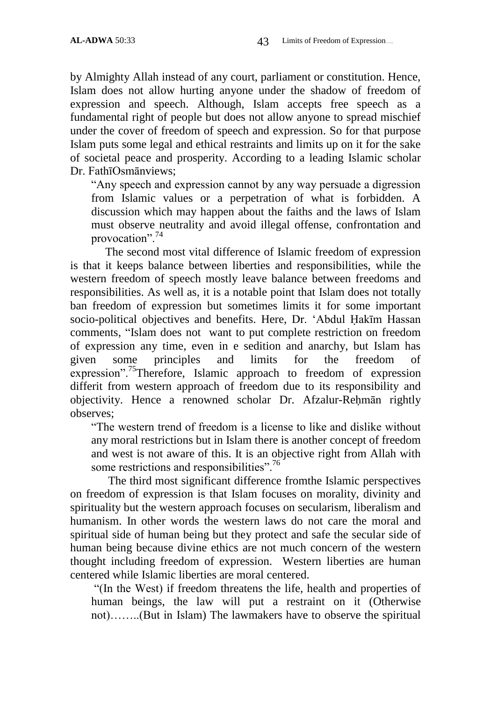by Almighty Allah instead of any court, parliament or constitution. Hence, Islam does not allow hurting anyone under the shadow of freedom of expression and speech. Although, Islam accepts free speech as a fundamental right of people but does not allow anyone to spread mischief under the cover of freedom of speech and expression. So for that purpose Islam puts some legal and ethical restraints and limits up on it for the sake of societal peace and prosperity. According to a leading Islamic scholar Dr. FathīOsmānviews;

"Any speech and expression cannot by any way persuade a digression from Islamic values or a perpetration of what is forbidden. A discussion which may happen about the faiths and the laws of Islam must observe neutrality and avoid illegal offense, confrontation and provocation".<sup>74</sup>

The second most vital difference of Islamic freedom of expression is that it keeps balance between liberties and responsibilities, while the western freedom of speech mostly leave balance between freedoms and responsibilities. As well as, it is a notable point that Islam does not totally ban freedom of expression but sometimes limits it for some important socio-political objectives and benefits. Here, Dr. "Abdul Ḥakīm Hassan comments, "Islam does not want to put complete restriction on freedom of expression any time, even in e sedition and anarchy, but Islam has given some principles and limits for the freedom of expression".<sup>75</sup>Therefore, Islamic approach to freedom of expression differit from western approach of freedom due to its responsibility and objectivity. Hence a renowned scholar Dr. Afzalur-Reḥmān rightly observes;

"The western trend of freedom is a license to like and dislike without any moral restrictions but in Islam there is another concept of freedom and west is not aware of this. It is an objective right from Allah with some restrictions and responsibilities".<sup>76</sup>

The third most significant difference fromthe Islamic perspectives on freedom of expression is that Islam focuses on morality, divinity and spirituality but the western approach focuses on secularism, liberalism and humanism. In other words the western laws do not care the moral and spiritual side of human being but they protect and safe the secular side of human being because divine ethics are not much concern of the western thought including freedom of expression. Western liberties are human centered while Islamic liberties are moral centered.

"(In the West) if freedom threatens the life, health and properties of human beings, the law will put a restraint on it (Otherwise not)……..(But in Islam) The lawmakers have to observe the spiritual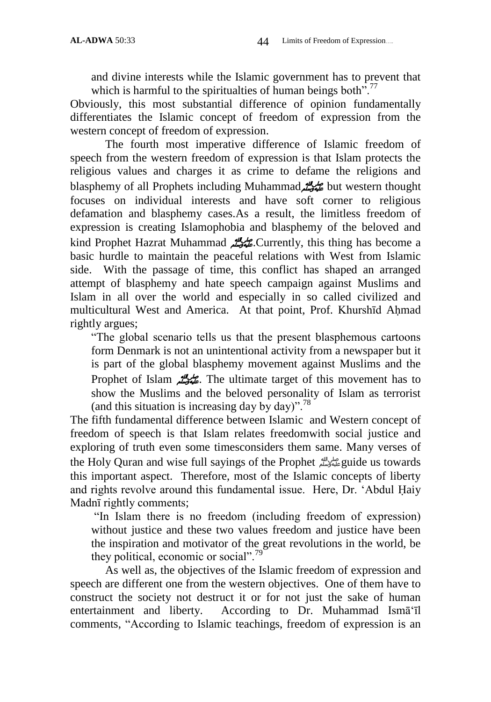and divine interests while the Islamic government has to prevent that which is harmful to the spiritualties of human beings both".<sup>77</sup>

Obviously, this most substantial difference of opinion fundamentally differentiates the Islamic concept of freedom of expression from the western concept of freedom of expression.

The fourth most imperative difference of Islamic freedom of speech from the western freedom of expression is that Islam protects the religious values and charges it as crime to defame the religions and blasphemy of all Prophets including Muhammadصلى الله عليه وسلمbut western thought focuses on individual interests and have soft corner to religious defamation and blasphemy cases.As a result, the limitless freedom of expression is creating Islamophobia and blasphemy of the beloved and kind Prophet Hazrat Muhammad صلى الله عليه وسلم.Currently, this thing has become a basic hurdle to maintain the peaceful relations with West from Islamic side. With the passage of time, this conflict has shaped an arranged attempt of blasphemy and hate speech campaign against Muslims and Islam in all over the world and especially in so called civilized and multicultural West and America. At that point, Prof. Khurshīd Ahmad rightly argues;

"The global scenario tells us that the present blasphemous cartoons form Denmark is not an unintentional activity from a newspaper but it is part of the global blasphemy movement against Muslims and the Prophet of Islam صلى الله عليه الله عليه وسلم Prophet of Islam المستعدد The ultimate target of this movement has to show the Muslims and the beloved personality of Islam as terrorist (and this situation is increasing day by day)".<sup>78</sup>

The fifth fundamental difference between Islamic and Western concept of freedom of speech is that Islam relates freedomwith social justice and exploring of truth even some timesconsiders them same. Many verses of the Holy Quran and wise full sayings of the Prophet صلى الله عليه وسلم guide us towards this important aspect. Therefore, most of the Islamic concepts of liberty and rights revolve around this fundamental issue. Here, Dr. "Abdul Ḥaiy Madnī rightly comments;

"In Islam there is no freedom (including freedom of expression) without justice and these two values freedom and justice have been the inspiration and motivator of the great revolutions in the world, be they political, economic or social".<sup>79</sup>

As well as, the objectives of the Islamic freedom of expression and speech are different one from the western objectives. One of them have to construct the society not destruct it or for not just the sake of human entertainment and liberty. According to Dr. Muhammad Ismā"īl comments, "According to Islamic teachings, freedom of expression is an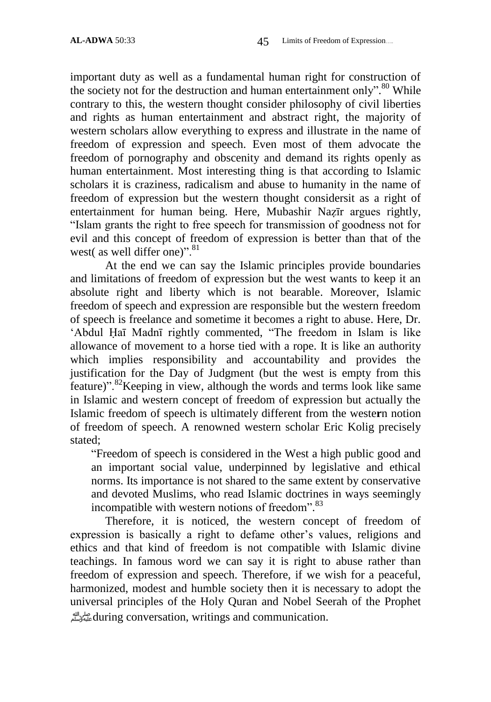important duty as well as a fundamental human right for construction of the society not for the destruction and human entertainment only".<sup>80</sup> While contrary to this, the western thought consider philosophy of civil liberties and rights as human entertainment and abstract right, the majority of western scholars allow everything to express and illustrate in the name of freedom of expression and speech. Even most of them advocate the freedom of pornography and obscenity and demand its rights openly as human entertainment. Most interesting thing is that according to Islamic scholars it is craziness, radicalism and abuse to humanity in the name of freedom of expression but the western thought considersit as a right of entertainment for human being. Here, Mubashir Naẓīr argues rightly, "Islam grants the right to free speech for transmission of goodness not for evil and this concept of freedom of expression is better than that of the west( as well differ one)".<sup>81</sup>

At the end we can say the Islamic principles provide boundaries and limitations of freedom of expression but the west wants to keep it an absolute right and liberty which is not bearable. Moreover, Islamic freedom of speech and expression are responsible but the western freedom of speech is freelance and sometime it becomes a right to abuse. Here, Dr. "Abdul Ḥaī Madnī rightly commented, "The freedom in Islam is like allowance of movement to a horse tied with a rope. It is like an authority which implies responsibility and accountability and provides the justification for the Day of Judgment (but the west is empty from this feature)".<sup>82</sup>Keeping in view, although the words and terms look like same in Islamic and western concept of freedom of expression but actually the Islamic freedom of speech is ultimately different from the weste**r**n notion of freedom of speech. A renowned western scholar Eric Kolig precisely stated;

"Freedom of speech is considered in the West a high public good and an important social value, underpinned by legislative and ethical norms. Its importance is not shared to the same extent by conservative and devoted Muslims, who read Islamic doctrines in ways seemingly incompatible with western notions of freedom".<sup>83</sup>

Therefore, it is noticed, the western concept of freedom of expression is basically a right to defame other"s values, religions and ethics and that kind of freedom is not compatible with Islamic divine teachings. In famous word we can say it is right to abuse rather than freedom of expression and speech. Therefore, if we wish for a peaceful, harmonized, modest and humble society then it is necessary to adopt the universal principles of the Holy Quran and Nobel Seerah of the Prophet صلى الله عليه وسلمduring conversation, writings and communication.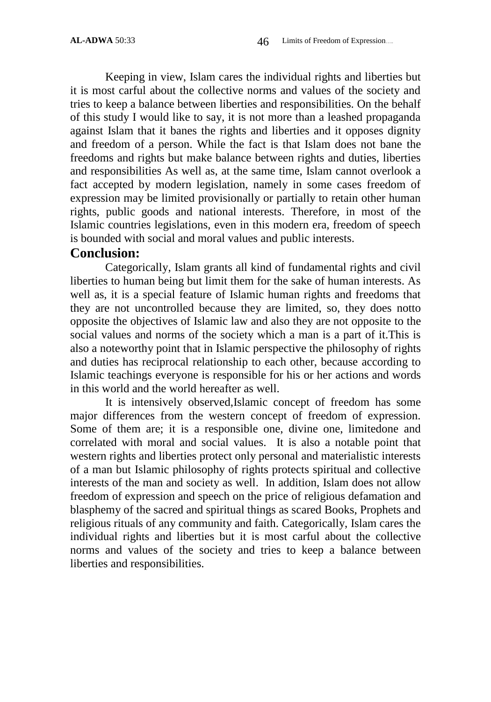Keeping in view, Islam cares the individual rights and liberties but it is most carful about the collective norms and values of the society and tries to keep a balance between liberties and responsibilities. On the behalf of this study I would like to say, it is not more than a leashed propaganda against Islam that it banes the rights and liberties and it opposes dignity and freedom of a person. While the fact is that Islam does not bane the freedoms and rights but make balance between rights and duties, liberties and responsibilities As well as, at the same time, Islam cannot overlook a fact accepted by modern legislation, namely in some cases freedom of expression may be limited provisionally or partially to retain other human rights, public goods and national interests. Therefore, in most of the Islamic countries legislations, even in this modern era, freedom of speech is bounded with social and moral values and public interests.

#### **Conclusion:**

Categorically, Islam grants all kind of fundamental rights and civil liberties to human being but limit them for the sake of human interests. As well as, it is a special feature of Islamic human rights and freedoms that they are not uncontrolled because they are limited, so, they does notto opposite the objectives of Islamic law and also they are not opposite to the social values and norms of the society which a man is a part of it.This is also a noteworthy point that in Islamic perspective the philosophy of rights and duties has reciprocal relationship to each other, because according to Islamic teachings everyone is responsible for his or her actions and words in this world and the world hereafter as well.

It is intensively observed,Islamic concept of freedom has some major differences from the western concept of freedom of expression. Some of them are; it is a responsible one, divine one, limitedone and correlated with moral and social values. It is also a notable point that western rights and liberties protect only personal and materialistic interests of a man but Islamic philosophy of rights protects spiritual and collective interests of the man and society as well. In addition, Islam does not allow freedom of expression and speech on the price of religious defamation and blasphemy of the sacred and spiritual things as scared Books, Prophets and religious rituals of any community and faith. Categorically, Islam cares the individual rights and liberties but it is most carful about the collective norms and values of the society and tries to keep a balance between liberties and responsibilities.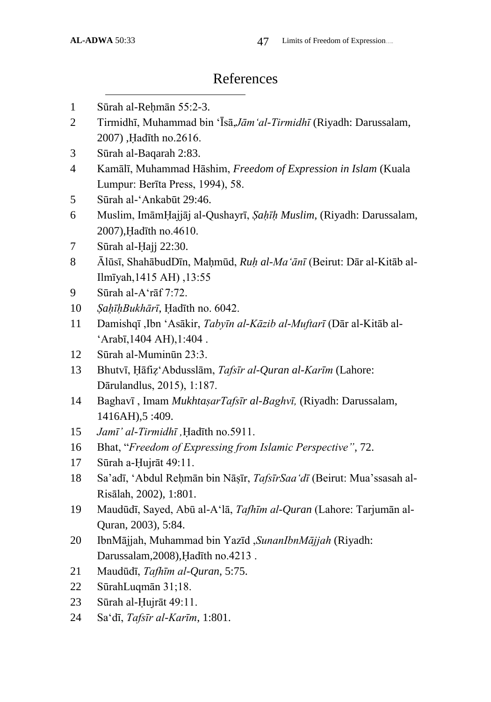# References

- 1 Sūrah al-Rehmān 55:2-3.
- Tirmidhī, Muhammad bin "Īsā,*Jām"al-Tirmidhī* (Riyadh: Darussalam, 2007) ,Ḥadīth no.2616.
- Sūrah al-Baqarah 2:83.
- Kamālī, Muhammad Hāshim, *Freedom of Expression in Islam* (Kuala Lumpur: Berīta Press, 1994), 58.
- Sūrah al-"Ankabūt 29:46.
- Muslim, ImāmḤajjāj al-Qushayrī, *Ṣaḥīḥ Muslim*, (Riyadh: Darussalam, 2007),Ḥadīth no.4610.
- Sūrah al-Ḥajj 22:30.
- Ālūsī, ShahābudDīn, Maḥmūd, *Ruḥ al-Ma"ānī* (Beirut: Dār al-Kitāb al-Ilmīyah,1415 AH) ,13:55
- Sūrah al-A"rāf 7:72.
- *ṢaḥīḥBukhārī*, Ḥadīth no. 6042.
- Damishqī ,Ibn "Asākir, *Tabyīn al-Kāzib al-Muftarī* (Dār al-Kitāb al- "Arabī,1404 AH),1:404 .
- Sūrah al-Muminūn 23:3.
- Bhutvī, Ḥāfiẓ"Abdusslām, *Tafsīr al-Quran al-Karīm* (Lahore: Dārulandlus, 2015), 1:187.
- Baghavī , Imam *MukhtaṣarTafsīr al-Baghvī,* (Riyadh: Darussalam, 1416AH),5 :409.
- *Jamī" al-Tirmidhī ,*Ḥadīth no.5911.
- Bhat, "*Freedom of Expressing from Islamic Perspective"*, 72.
- Sūrah a-Ḥujrāt 49:11.
- Sa"adī, "Abdul Reḥmān bin Nāṣīr, *TafsīrSaa"dī* (Beirut: Mua"ssasah al-Risālah, 2002), 1:801.
- Maudūdī, Sayed, Abū al-A"lā, *Tafhīm al-Quran* (Lahore: Tarjumān al-Quran, 2003), 5:84.
- IbnMājjah, Muhammad bin Yazīd ,*SunanIbnMājjah* (Riyadh: Darussalam,2008),Ḥadīth no.4213 .
- Maudūdī, *Tafhīm al-Quran*, 5:75.
- SūrahLuqmān 31;18.
- Sūrah al-Ḥujrāt 49:11.
- Sa"dī, *Tafsīr al-Karīm*, 1:801.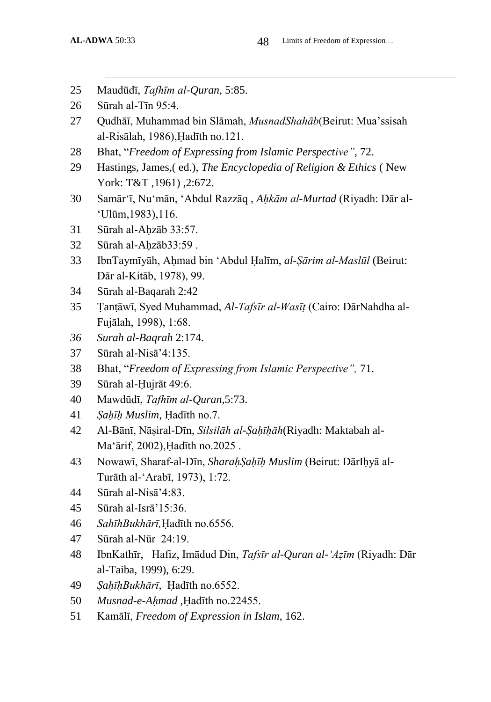- Maudūdī, *Tafhīm al-Quran,* 5:85.
- Sūrah al-Tīn 95:4.
- Qudhāī, Muhammad bin Slāmah, *MusnadShahāb*(Beirut: Mua"ssisah al-Risālah, 1986),Ḥadīth no.121.
- Bhat, "*Freedom of Expressing from Islamic Perspective"*, 72.
- Hastings, James,( ed.), *The Encyclopedia of Religion & Ethics* ( New York: T&T ,1961) ,2:672.
- Samār"ī, Nu"mān, "Abdul Razzāq , *Aḥkām al-Murtad* (Riyadh: Dār al- "Ulūm,1983),116.
- 31 Sūrah al-Ahzāb 33:57.
- 32 Sūrah al-Ahzāb 33:59.
- IbnTaymīyāh, Aḥmad bin "Abdul Ḥalīm, *al-Ṣārim al-Maslūl* (Beirut: Dār al-Kitāb, 1978), 99.
- Sūrah al-Baqarah 2:42
- Ṭanṭāwī, Syed Muhammad, *Al-Tafsīr al-Wasīṭ* (Cairo: DārNahdha al-Fujālah, 1998), 1:68.
- *Surah al-Baqrah* 2:174.
- Sūrah al-Nisā"4:135.
- Bhat, "*Freedom of Expressing from Islamic Perspective",* 71.
- Sūrah al-Ḥujrāt 49:6.
- Mawdūdī, *Tafhīm al-Quran*,5:73.
- *Ṣaḥīḥ Muslim*, Ḥadīth no.7.
- Al-Bānī, Nāṣiral-Dīn, *Silsilāh al-Ṣaḥīḥāh*(Riyadh: Maktabah al-Ma"ārif, 2002),Ḥadīth no.2025 .
- Nowawī, Sharaf-al-Dīn, *SharaḥṢaḥīḥ Muslim* (Beirut: DārIḥyā al-Turāth al-"Arabī, 1973), 1:72.
- Sūrah al-Nisā"4:83.
- Sūrah al-Isrā"15:36.
- *SahīhBukhārī,*Ḥadīth no.6556.
- Sūrah al-Nūr 24:19.
- IbnKathīr, Hafiz, Imādud Din, *Tafsīr al-Quran al-"Aẓīm* (Riyadh: Dār al-Taiba, 1999), 6:29.
- *ṢaḥīḥBukhārī*, Ḥadīth no.6552.
- *Musnad-e-Aḥmad ,*Ḥadīth no.22455.
- Kamālī, *Freedom of Expression in Islam*, 162.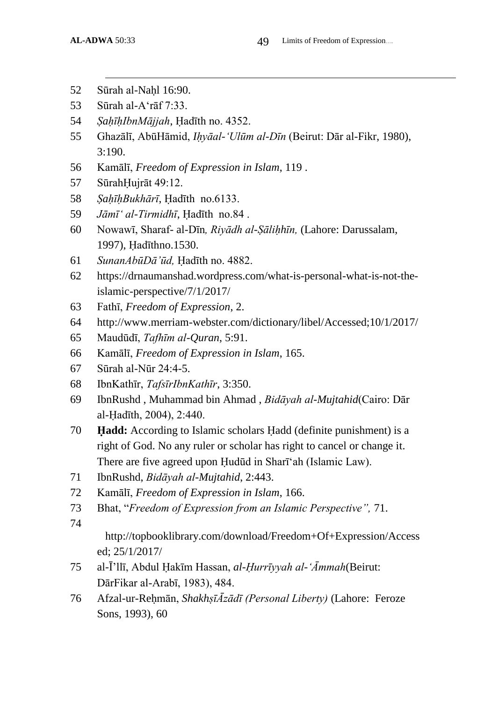- Sūrah al-Naḥl 16:90.
- Sūrah al-A"rāf 7:33.
- *ṢaḥīḥIbnMājjah*, Ḥadīth no. 4352.
- Ghazālī, AbūHāmid, *Iḥyāal-"Ulūm al-Dīn* (Beirut: Dār al-Fikr, 1980), 3:190.
- Kamālī, *Freedom of Expression in Islam*, 119 .
- SūrahḤujrāt 49:12.
- *ṢaḥīḥBukhārī*, Ḥadīth no.6133.
- *Jāmī" al-Tirmidhī*, Ḥadīth no.84 .
- Nowawī, Sharaf- al-Dīn*, Riyādh al-Ṣāliḥhīn,* (Lahore: Darussalam, 1997), Ḥadīthno.1530.
- *SunanAbūDā"ūd,* Ḥadīth no. 4882.
- https://drnaumanshad.wordpress.com/what-is-personal-what-is-not-theislamic-perspective/7/1/2017/
- Fathī, *Freedom of Expression*, 2.
- [http://www.merriam-webster.com/dictionary/libel/A](http://www.merriam-webster.com/dictionary/libel/)ccessed;10/1/2017/
- Maudūdī, *Tafhīm al-Quran*, 5:91.
- Kamālī, *Freedom of Expression in Islam*, 165.
- Sūrah al-Nūr 24:4-5.
- IbnKathīr, *TafsīrIbnKathīr*, 3:350.
- IbnRushd , Muhammad bin Ahmad , *Bidāyah al-Mujtahid*(Cairo: Dār al-Ḥadīth, 2004), 2:440.
- **Ḥadd:** According to Islamic scholars Ḥadd (definite punishment) is a right of God. No any ruler or scholar has right to cancel or change it. There are five agreed upon Ḥudūd in Sharī"ah (Islamic Law).
- IbnRushd, *Bidāyah al-Mujtahid*, 2:443.
- Kamālī, *Freedom of Expression in Islam*, 166.
- Bhat, "*Freedom of Expression from an Islamic Perspective",* 71.
- 

http://topbooklibrary.com/download/Freedom+Of+Expression/Access ed; 25/1/2017/

- al-Ī"llī, Abdul Ḥakīm Hassan, *al-Ḥurrīyyah al-"Āmmah*(Beirut: DārFikar al-Arabī, 1983), 484.
- Afzal-ur-Reḥmān, *ShakhṣīĀzādī (Personal Liberty)* (Lahore: Feroze Sons, 1993), 60